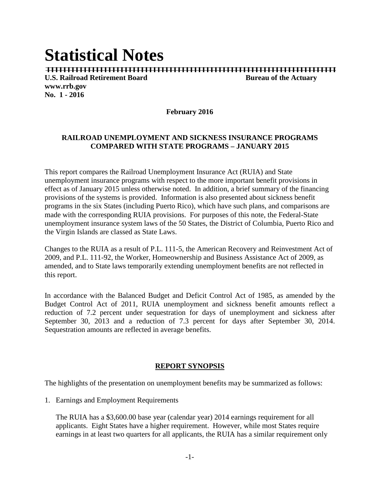# **Statistical Notes**

| | | | | | | | | | | | | | | | | | | | | | | | | | | | | | | | | | | | | | | | | | | | | | | | | | | | | | | | | | | | | | | | | | | | | | |

**U.S. Railroad Retirement Board Bureau of the Actuary www.rrb.gov No. 1 - 2016**

**February 2016**

#### **RAILROAD UNEMPLOYMENT AND SICKNESS INSURANCE PROGRAMS COMPARED WITH STATE PROGRAMS – JANUARY 2015**

This report compares the Railroad Unemployment Insurance Act (RUIA) and State unemployment insurance programs with respect to the more important benefit provisions in effect as of January 2015 unless otherwise noted. In addition, a brief summary of the financing provisions of the systems is provided. Information is also presented about sickness benefit programs in the six States (including Puerto Rico), which have such plans, and comparisons are made with the corresponding RUIA provisions. For purposes of this note, the Federal-State unemployment insurance system laws of the 50 States, the District of Columbia, Puerto Rico and the Virgin Islands are classed as State Laws.

Changes to the RUIA as a result of P.L. 111-5, the American Recovery and Reinvestment Act of 2009, and P.L. 111-92, the Worker, Homeownership and Business Assistance Act of 2009, as amended, and to State laws temporarily extending unemployment benefits are not reflected in this report.

In accordance with the Balanced Budget and Deficit Control Act of 1985, as amended by the Budget Control Act of 2011, RUIA unemployment and sickness benefit amounts reflect a reduction of 7.2 percent under sequestration for days of unemployment and sickness after September 30, 2013 and a reduction of 7.3 percent for days after September 30, 2014. Sequestration amounts are reflected in average benefits.

#### **REPORT SYNOPSIS**

The highlights of the presentation on unemployment benefits may be summarized as follows:

1. Earnings and Employment Requirements

The RUIA has a \$3,600.00 base year (calendar year) 2014 earnings requirement for all applicants. Eight States have a higher requirement. However, while most States require earnings in at least two quarters for all applicants, the RUIA has a similar requirement only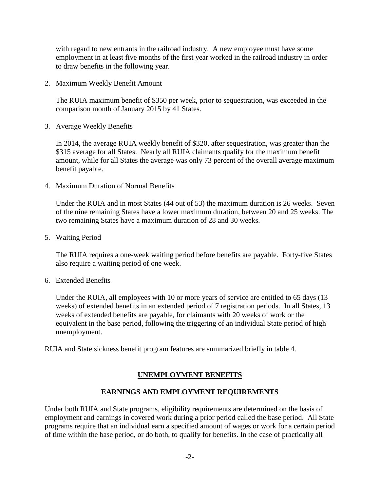with regard to new entrants in the railroad industry. A new employee must have some employment in at least five months of the first year worked in the railroad industry in order to draw benefits in the following year.

2. Maximum Weekly Benefit Amount

The RUIA maximum benefit of \$350 per week, prior to sequestration, was exceeded in the comparison month of January 2015 by 41 States.

3. Average Weekly Benefits

In 2014, the average RUIA weekly benefit of \$320, after sequestration, was greater than the \$315 average for all States. Nearly all RUIA claimants qualify for the maximum benefit amount, while for all States the average was only 73 percent of the overall average maximum benefit payable.

4. Maximum Duration of Normal Benefits

Under the RUIA and in most States (44 out of 53) the maximum duration is 26 weeks. Seven of the nine remaining States have a lower maximum duration, between 20 and 25 weeks. The two remaining States have a maximum duration of 28 and 30 weeks.

5. Waiting Period

The RUIA requires a one-week waiting period before benefits are payable. Forty-five States also require a waiting period of one week.

6. Extended Benefits

Under the RUIA, all employees with 10 or more years of service are entitled to 65 days (13 weeks) of extended benefits in an extended period of 7 registration periods. In all States, 13 weeks of extended benefits are payable, for claimants with 20 weeks of work or the equivalent in the base period, following the triggering of an individual State period of high unemployment.

RUIA and State sickness benefit program features are summarized briefly in table 4.

# **UNEMPLOYMENT BENEFITS**

## **EARNINGS AND EMPLOYMENT REQUIREMENTS**

Under both RUIA and State programs, eligibility requirements are determined on the basis of employment and earnings in covered work during a prior period called the base period. All State programs require that an individual earn a specified amount of wages or work for a certain period of time within the base period, or do both, to qualify for benefits. In the case of practically all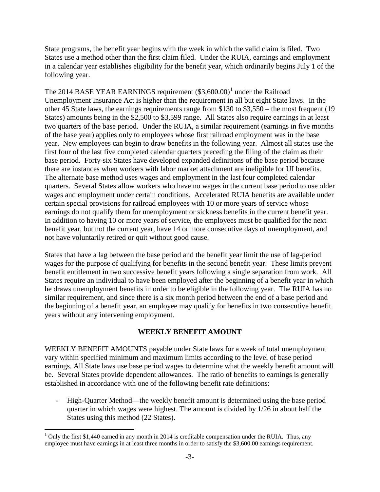State programs, the benefit year begins with the week in which the valid claim is filed. Two States use a method other than the first claim filed. Under the RUIA, earnings and employment in a calendar year establishes eligibility for the benefit year, which ordinarily begins July 1 of the following year.

The 20[1](#page-2-0)4 BASE YEAR EARNINGS requirement  $(\$3,600.00)^1$  under the Railroad Unemployment Insurance Act is higher than the requirement in all but eight State laws. In the other 45 State laws, the earnings requirements range from \$130 to \$3,550 – the most frequent (19 States) amounts being in the \$2,500 to \$3,599 range. All States also require earnings in at least two quarters of the base period. Under the RUIA, a similar requirement (earnings in five months of the base year) applies only to employees whose first railroad employment was in the base year. New employees can begin to draw benefits in the following year. Almost all states use the first four of the last five completed calendar quarters preceding the filing of the claim as their base period. Forty-six States have developed expanded definitions of the base period because there are instances when workers with labor market attachment are ineligible for UI benefits. The alternate base method uses wages and employment in the last four completed calendar quarters. Several States allow workers who have no wages in the current base period to use older wages and employment under certain conditions. Accelerated RUIA benefits are available under certain special provisions for railroad employees with 10 or more years of service whose earnings do not qualify them for unemployment or sickness benefits in the current benefit year. In addition to having 10 or more years of service, the employees must be qualified for the next benefit year, but not the current year, have 14 or more consecutive days of unemployment, and not have voluntarily retired or quit without good cause.

States that have a lag between the base period and the benefit year limit the use of lag-period wages for the purpose of qualifying for benefits in the second benefit year. These limits prevent benefit entitlement in two successive benefit years following a single separation from work. All States require an individual to have been employed after the beginning of a benefit year in which he draws unemployment benefits in order to be eligible in the following year. The RUIA has no similar requirement, and since there is a six month period between the end of a base period and the beginning of a benefit year, an employee may qualify for benefits in two consecutive benefit years without any intervening employment.

## **WEEKLY BENEFIT AMOUNT**

WEEKLY BENEFIT AMOUNTS payable under State laws for a week of total unemployment vary within specified minimum and maximum limits according to the level of base period earnings. All State laws use base period wages to determine what the weekly benefit amount will be. Several States provide dependent allowances. The ratio of benefits to earnings is generally established in accordance with one of the following benefit rate definitions:

- High-Quarter Method—the weekly benefit amount is determined using the base period quarter in which wages were highest. The amount is divided by 1/26 in about half the States using this method (22 States).

<span id="page-2-0"></span> $1$  Only the first \$1,440 earned in any month in 2014 is creditable compensation under the RUIA. Thus, any employee must have earnings in at least three months in order to satisfy the \$3,600.00 earnings requirement.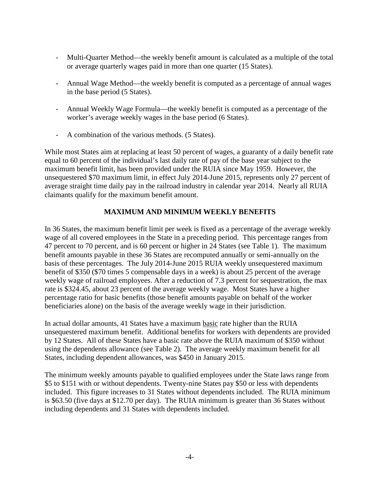- Multi-Quarter Method—the weekly benefit amount is calculated as a multiple of the total or average quarterly wages paid in more than one quarter (15 States).
- Annual Wage Method—the weekly benefit is computed as a percentage of annual wages in the base period (5 States).
- Annual Weekly Wage Formula—the weekly benefit is computed as a percentage of the worker's average weekly wages in the base period (6 States).
- A combination of the various methods. (5 States).

While most States aim at replacing at least 50 percent of wages, a guaranty of a daily benefit rate equal to 60 percent of the individual's last daily rate of pay of the base year subject to the maximum benefit limit, has been provided under the RUIA since May 1959. However, the unsequestered \$70 maximum limit, in effect July 2014-June 2015, represents only 27 percent of average straight time daily pay in the railroad industry in calendar year 2014. Nearly all RUIA claimants qualify for the maximum benefit amount.

## **MAXIMUM AND MINIMUM WEEKLY BENEFITS**

In 36 States, the maximum benefit limit per week is fixed as a percentage of the average weekly wage of all covered employees in the State in a preceding period. This percentage ranges from 47 percent to 70 percent, and is 60 percent or higher in 24 States (see Table 1). The maximum benefit amounts payable in these 36 States are recomputed annually or semi-annually on the basis of these percentages. The July 2014-June 2015 RUIA weekly unsequestered maximum benefit of \$350 (\$70 times 5 compensable days in a week) is about 25 percent of the average weekly wage of railroad employees. After a reduction of 7.3 percent for sequestration, the max rate is \$324.45, about 23 percent of the average weekly wage. Most States have a higher percentage ratio for basic benefits (those benefit amounts payable on behalf of the worker beneficiaries alone) on the basis of the average weekly wage in their jurisdiction.

In actual dollar amounts, 41 States have a maximum basic rate higher than the RUIA unsequestered maximum benefit. Additional benefits for workers with dependents are provided by 12 States. All of these States have a basic rate above the RUIA maximum of \$350 without using the dependents allowance (see Table 2). The average weekly maximum benefit for all States, including dependent allowances, was \$450 in January 2015.

The minimum weekly amounts payable to qualified employees under the State laws range from \$5 to \$151 with or without dependents. Twenty-nine States pay \$50 or less with dependents included. This figure increases to 31 States without dependents included. The RUIA minimum is \$63.50 (five days at \$12.70 per day). The RUIA minimum is greater than 36 States without including dependents and 31 States with dependents included.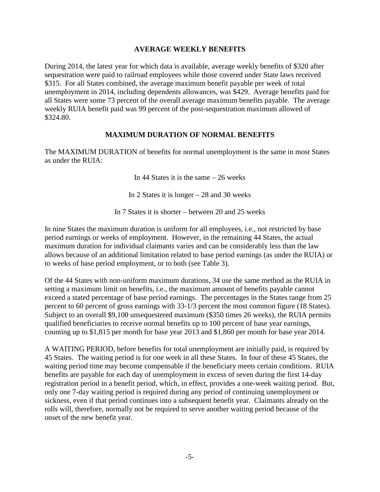#### **AVERAGE WEEKLY BENEFITS**

During 2014, the latest year for which data is available, average weekly benefits of \$320 after sequestration were paid to railroad employees while those covered under State laws received \$315. For all States combined, the average maximum benefit payable per week of total unemployment in 2014, including dependents allowances, was \$429. Average benefits paid for all States were some 73 percent of the overall average maximum benefits payable. The average weekly RUIA benefit paid was 99 percent of the post-sequestration maximum allowed of \$324.80.

#### **MAXIMUM DURATION OF NORMAL BENEFITS**

The MAXIMUM DURATION of benefits for normal unemployment is the same in most States as under the RUIA:

In 44 States it is the same – 26 weeks

In 2 States it is longer – 28 and 30 weeks

In 7 States it is shorter – between 20 and 25 weeks

In nine States the maximum duration is uniform for all employees, i.e., not restricted by base period earnings or weeks of employment. However, in the remaining 44 States, the actual maximum duration for individual claimants varies and can be considerably less than the law allows because of an additional limitation related to base period earnings (as under the RUIA) or to weeks of base period employment, or to both (see Table 3).

Of the 44 States with non-uniform maximum durations, 34 use the same method as the RUIA in setting a maximum limit on benefits, i.e., the maximum amount of benefits payable cannot exceed a stated percentage of base period earnings. The percentages in the States range from 25 percent to 60 percent of gross earnings with 33-1/3 percent the most common figure (18 States). Subject to an overall \$9,100 unsequestered maximum (\$350 times 26 weeks), the RUIA permits qualified beneficiaries to receive normal benefits up to 100 percent of base year earnings, counting up to \$1,815 per month for base year 2013 and \$1,860 per month for base year 2014.

A WAITING PERIOD, before benefits for total unemployment are initially paid, is required by 45 States. The waiting period is for one week in all these States. In four of these 45 States, the waiting period time may become compensable if the beneficiary meets certain conditions. RUIA benefits are payable for each day of unemployment in excess of seven during the first 14-day registration period in a benefit period, which, in effect, provides a one-week waiting period. But, only one 7-day waiting period is required during any period of continuing unemployment or sickness, even if that period continues into a subsequent benefit year. Claimants already on the rolls will, therefore, normally not be required to serve another waiting period because of the onset of the new benefit year.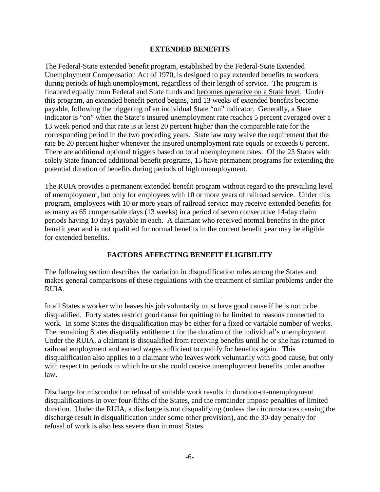#### **EXTENDED BENEFITS**

The Federal-State extended benefit program, established by the Federal-State Extended Unemployment Compensation Act of 1970, is designed to pay extended benefits to workers during periods of high unemployment, regardless of their length of service. The program is financed equally from Federal and State funds and becomes operative on a State level. Under this program, an extended benefit period begins, and 13 weeks of extended benefits become payable, following the triggering of an individual State "on" indicator. Generally, a State indicator is "on" when the State's insured unemployment rate reaches 5 percent averaged over a 13 week period and that rate is at least 20 percent higher than the comparable rate for the corresponding period in the two preceding years. State law may waive the requirement that the rate be 20 percent higher whenever the insured unemployment rate equals or exceeds 6 percent. There are additional optional triggers based on total unemployment rates. Of the 23 States with solely State financed additional benefit programs, 15 have permanent programs for extending the potential duration of benefits during periods of high unemployment.

The RUIA provides a permanent extended benefit program without regard to the prevailing level of unemployment, but only for employees with 10 or more years of railroad service. Under this program, employees with 10 or more years of railroad service may receive extended benefits for as many as 65 compensable days (13 weeks) in a period of seven consecutive 14-day claim periods having 10 days payable in each. A claimant who received normal benefits in the prior benefit year and is not qualified for normal benefits in the current benefit year may be eligible for extended benefits.

# **FACTORS AFFECTING BENEFIT ELIGIBILITY**

The following section describes the variation in disqualification rules among the States and makes general comparisons of these regulations with the treatment of similar problems under the RUIA.

In all States a worker who leaves his job voluntarily must have good cause if he is not to be disqualified. Forty states restrict good cause for quitting to be limited to reasons connected to work. In some States the disqualification may be either for a fixed or variable number of weeks. The remaining States disqualify entitlement for the duration of the individual's unemployment. Under the RUIA, a claimant is disqualified from receiving benefits until he or she has returned to railroad employment and earned wages sufficient to qualify for benefits again. This disqualification also applies to a claimant who leaves work voluntarily with good cause, but only with respect to periods in which he or she could receive unemployment benefits under another law.

Discharge for misconduct or refusal of suitable work results in duration-of-unemployment disqualifications in over four-fifths of the States, and the remainder impose penalties of limited duration. Under the RUIA, a discharge is not disqualifying (unless the circumstances causing the discharge result in disqualification under some other provision), and the 30-day penalty for refusal of work is also less severe than in most States.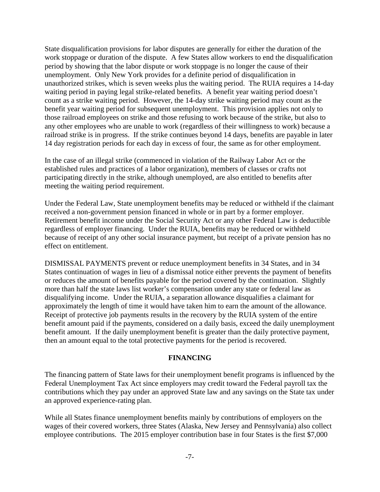State disqualification provisions for labor disputes are generally for either the duration of the work stoppage or duration of the dispute. A few States allow workers to end the disqualification period by showing that the labor dispute or work stoppage is no longer the cause of their unemployment. Only New York provides for a definite period of disqualification in unauthorized strikes, which is seven weeks plus the waiting period. The RUIA requires a 14-day waiting period in paying legal strike-related benefits. A benefit year waiting period doesn't count as a strike waiting period. However, the 14-day strike waiting period may count as the benefit year waiting period for subsequent unemployment. This provision applies not only to those railroad employees on strike and those refusing to work because of the strike, but also to any other employees who are unable to work (regardless of their willingness to work) because a railroad strike is in progress. If the strike continues beyond 14 days, benefits are payable in later 14 day registration periods for each day in excess of four, the same as for other employment.

In the case of an illegal strike (commenced in violation of the Railway Labor Act or the established rules and practices of a labor organization), members of classes or crafts not participating directly in the strike, although unemployed, are also entitled to benefits after meeting the waiting period requirement.

Under the Federal Law, State unemployment benefits may be reduced or withheld if the claimant received a non-government pension financed in whole or in part by a former employer. Retirement benefit income under the Social Security Act or any other Federal Law is deductible regardless of employer financing. Under the RUIA, benefits may be reduced or withheld because of receipt of any other social insurance payment, but receipt of a private pension has no effect on entitlement.

DISMISSAL PAYMENTS prevent or reduce unemployment benefits in 34 States, and in 34 States continuation of wages in lieu of a dismissal notice either prevents the payment of benefits or reduces the amount of benefits payable for the period covered by the continuation. Slightly more than half the state laws list worker's compensation under any state or federal law as disqualifying income. Under the RUIA, a separation allowance disqualifies a claimant for approximately the length of time it would have taken him to earn the amount of the allowance. Receipt of protective job payments results in the recovery by the RUIA system of the entire benefit amount paid if the payments, considered on a daily basis, exceed the daily unemployment benefit amount. If the daily unemployment benefit is greater than the daily protective payment, then an amount equal to the total protective payments for the period is recovered.

#### **FINANCING**

The financing pattern of State laws for their unemployment benefit programs is influenced by the Federal Unemployment Tax Act since employers may credit toward the Federal payroll tax the contributions which they pay under an approved State law and any savings on the State tax under an approved experience-rating plan.

While all States finance unemployment benefits mainly by contributions of employers on the wages of their covered workers, three States (Alaska, New Jersey and Pennsylvania) also collect employee contributions. The 2015 employer contribution base in four States is the first \$7,000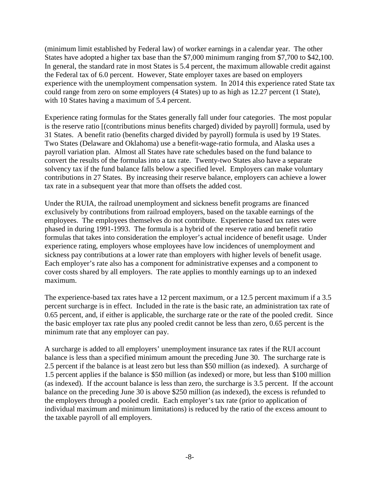(minimum limit established by Federal law) of worker earnings in a calendar year. The other States have adopted a higher tax base than the \$7,000 minimum ranging from \$7,700 to \$42,100. In general, the standard rate in most States is 5.4 percent, the maximum allowable credit against the Federal tax of 6.0 percent. However, State employer taxes are based on employers experience with the unemployment compensation system. In 2014 this experience rated State tax could range from zero on some employers (4 States) up to as high as 12.27 percent (1 State), with 10 States having a maximum of 5.4 percent.

Experience rating formulas for the States generally fall under four categories. The most popular is the reserve ratio [(contributions minus benefits charged) divided by payroll] formula, used by 31 States. A benefit ratio (benefits charged divided by payroll) formula is used by 19 States. Two States (Delaware and Oklahoma) use a benefit-wage-ratio formula, and Alaska uses a payroll variation plan. Almost all States have rate schedules based on the fund balance to convert the results of the formulas into a tax rate. Twenty-two States also have a separate solvency tax if the fund balance falls below a specified level. Employers can make voluntary contributions in 27 States. By increasing their reserve balance, employers can achieve a lower tax rate in a subsequent year that more than offsets the added cost.

Under the RUIA, the railroad unemployment and sickness benefit programs are financed exclusively by contributions from railroad employers, based on the taxable earnings of the employees. The employees themselves do not contribute. Experience based tax rates were phased in during 1991-1993. The formula is a hybrid of the reserve ratio and benefit ratio formulas that takes into consideration the employer's actual incidence of benefit usage. Under experience rating, employers whose employees have low incidences of unemployment and sickness pay contributions at a lower rate than employers with higher levels of benefit usage. Each employer's rate also has a component for administrative expenses and a component to cover costs shared by all employers. The rate applies to monthly earnings up to an indexed maximum.

The experience-based tax rates have a 12 percent maximum, or a 12.5 percent maximum if a 3.5 percent surcharge is in effect. Included in the rate is the basic rate, an administration tax rate of 0.65 percent, and, if either is applicable, the surcharge rate or the rate of the pooled credit. Since the basic employer tax rate plus any pooled credit cannot be less than zero, 0.65 percent is the minimum rate that any employer can pay.

A surcharge is added to all employers' unemployment insurance tax rates if the RUI account balance is less than a specified minimum amount the preceding June 30. The surcharge rate is 2.5 percent if the balance is at least zero but less than \$50 million (as indexed). A surcharge of 1.5 percent applies if the balance is \$50 million (as indexed) or more, but less than \$100 million (as indexed). If the account balance is less than zero, the surcharge is 3.5 percent. If the account balance on the preceding June 30 is above \$250 million (as indexed), the excess is refunded to the employers through a pooled credit. Each employer's tax rate (prior to application of individual maximum and minimum limitations) is reduced by the ratio of the excess amount to the taxable payroll of all employers.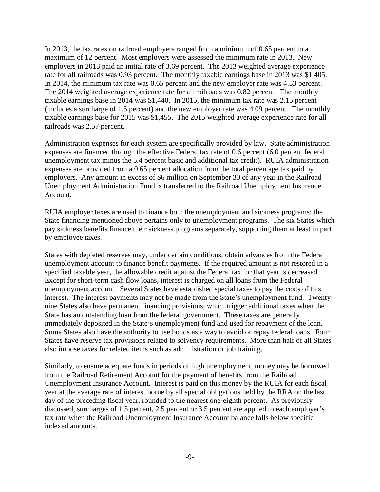In 2013, the tax rates on railroad employers ranged from a minimum of 0.65 percent to a maximum of 12 percent. Most employers were assessed the minimum rate in 2013. New employers in 2013 paid an initial rate of 3.69 percent. The 2013 weighted average experience rate for all railroads was 0.93 percent. The monthly taxable earnings base in 2013 was \$1,405. In 2014, the minimum tax rate was 0.65 percent and the new employer rate was 4.53 percent. The 2014 weighted average experience rate for all railroads was 0.82 percent. The monthly taxable earnings base in 2014 was \$1,440. In 2015, the minimum tax rate was 2.15 percent (includes a surcharge of 1.5 percent) and the new employer rate was 4.09 percent. The monthly taxable earnings base for 2015 was \$1,455. The 2015 weighted average experience rate for all railroads was 2.57 percent.

Administration expenses for each system are specifically provided by law**.** State administration expenses are financed through the effective Federal tax rate of 0.6 percent (6.0 percent federal unemployment tax minus the 5.4 percent basic and additional tax credit). RUIA administration expenses are provided from a 0.65 percent allocation from the total percentage tax paid by employers. Any amount in excess of \$6 million on September 30 of any year in the Railroad Unemployment Administration Fund is transferred to the Railroad Unemployment Insurance Account.

RUIA employer taxes are used to finance both the unemployment and sickness programs; the State financing mentioned above pertains only to unemployment programs. The six States which pay sickness benefits finance their sickness programs separately, supporting them at least in part by employee taxes.

States with depleted reserves may, under certain conditions, obtain advances from the Federal unemployment account to finance benefit payments. If the required amount is not restored in a specified taxable year, the allowable credit against the Federal tax for that year is decreased. Except for short-term cash flow loans, interest is charged on all loans from the Federal unemployment account. Several States have established special taxes to pay the costs of this interest. The interest payments may not be made from the State's unemployment fund. Twentynine States also have permanent financing provisions, which trigger additional taxes when the State has an outstanding loan from the federal government. These taxes are generally immediately deposited in the State's unemployment fund and used for repayment of the loan. Some States also have the authority to use bonds as a way to avoid or repay federal loans. Four States have reserve tax provisions related to solvency requirements. More than half of all States also impose taxes for related items such as administration or job training.

Similarly, to ensure adequate funds in periods of high unemployment, money may be borrowed from the Railroad Retirement Account for the payment of benefits from the Railroad Unemployment Insurance Account. Interest is paid on this money by the RUIA for each fiscal year at the average rate of interest borne by all special obligations held by the RRA on the last day of the preceding fiscal year, rounded to the nearest one-eighth percent. As previously discussed, surcharges of 1.5 percent, 2.5 percent or 3.5 percent are applied to each employer's tax rate when the Railroad Unemployment Insurance Account balance falls below specific indexed amounts.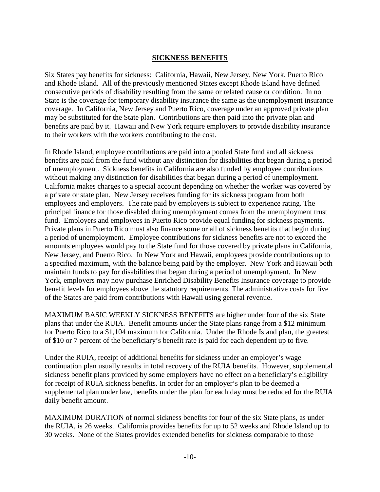#### **SICKNESS BENEFITS**

Six States pay benefits for sickness: California, Hawaii, New Jersey, New York, Puerto Rico and Rhode Island. All of the previously mentioned States except Rhode Island have defined consecutive periods of disability resulting from the same or related cause or condition. In no State is the coverage for temporary disability insurance the same as the unemployment insurance coverage. In California, New Jersey and Puerto Rico, coverage under an approved private plan may be substituted for the State plan. Contributions are then paid into the private plan and benefits are paid by it. Hawaii and New York require employers to provide disability insurance to their workers with the workers contributing to the cost.

In Rhode Island, employee contributions are paid into a pooled State fund and all sickness benefits are paid from the fund without any distinction for disabilities that began during a period of unemployment. Sickness benefits in California are also funded by employee contributions without making any distinction for disabilities that began during a period of unemployment. California makes charges to a special account depending on whether the worker was covered by a private or state plan. New Jersey receives funding for its sickness program from both employees and employers. The rate paid by employers is subject to experience rating. The principal finance for those disabled during unemployment comes from the unemployment trust fund. Employers and employees in Puerto Rico provide equal funding for sickness payments. Private plans in Puerto Rico must also finance some or all of sickness benefits that begin during a period of unemployment. Employee contributions for sickness benefits are not to exceed the amounts employees would pay to the State fund for those covered by private plans in California, New Jersey, and Puerto Rico. In New York and Hawaii, employees provide contributions up to a specified maximum, with the balance being paid by the employer. New York and Hawaii both maintain funds to pay for disabilities that began during a period of unemployment. In New York, employers may now purchase Enriched Disability Benefits Insurance coverage to provide benefit levels for employees above the statutory requirements. The administrative costs for five of the States are paid from contributions with Hawaii using general revenue.

MAXIMUM BASIC WEEKLY SICKNESS BENEFITS are higher under four of the six State plans that under the RUIA. Benefit amounts under the State plans range from a \$12 minimum for Puerto Rico to a \$1,104 maximum for California. Under the Rhode Island plan, the greatest of \$10 or 7 percent of the beneficiary's benefit rate is paid for each dependent up to five.

Under the RUIA, receipt of additional benefits for sickness under an employer's wage continuation plan usually results in total recovery of the RUIA benefits. However, supplemental sickness benefit plans provided by some employers have no effect on a beneficiary's eligibility for receipt of RUIA sickness benefits. In order for an employer's plan to be deemed a supplemental plan under law, benefits under the plan for each day must be reduced for the RUIA daily benefit amount.

MAXIMUM DURATION of normal sickness benefits for four of the six State plans, as under the RUIA, is 26 weeks. California provides benefits for up to 52 weeks and Rhode Island up to 30 weeks. None of the States provides extended benefits for sickness comparable to those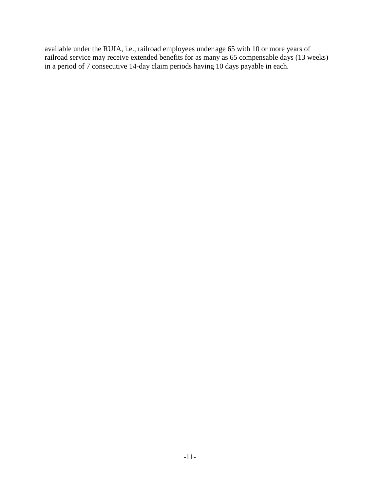available under the RUIA, i.e., railroad employees under age 65 with 10 or more years of railroad service may receive extended benefits for as many as 65 compensable days (13 weeks) in a period of 7 consecutive 14-day claim periods having 10 days payable in each.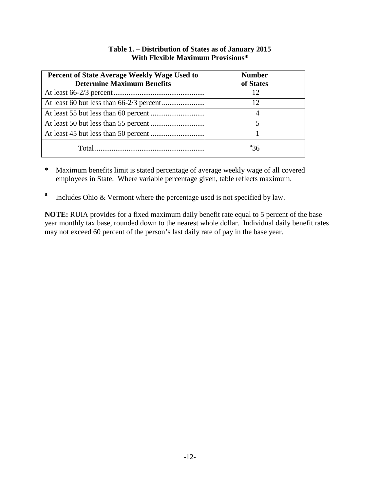| <b>Percent of State Average Weekly Wage Used to</b> | <b>Number</b> |  |
|-----------------------------------------------------|---------------|--|
| <b>Determine Maximum Benefits</b>                   | of States     |  |
|                                                     | 12            |  |
|                                                     |               |  |
|                                                     |               |  |
|                                                     |               |  |
|                                                     |               |  |
| Total                                               | ª36           |  |

## **Table 1. – Distribution of States as of January 2015 With Flexible Maximum Provisions\***

- **\*** Maximum benefits limit is stated percentage of average weekly wage of all covered employees in State. Where variable percentage given, table reflects maximum.
- **<sup>a</sup>** Includes Ohio & Vermont where the percentage used is not specified by law.

**NOTE:** RUIA provides for a fixed maximum daily benefit rate equal to 5 percent of the base year monthly tax base, rounded down to the nearest whole dollar. Individual daily benefit rates may not exceed 60 percent of the person's last daily rate of pay in the base year.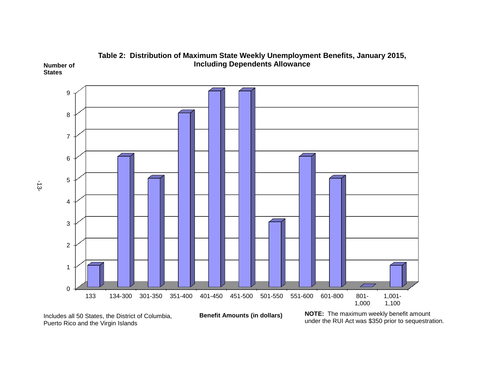





-13-

**States**

Includes all 50 States, the District of Columbia, Puerto Rico and the Virgin Islands

**NOTE:** The maximum weekly benefit amount under the RUI Act was \$350 prior to sequestration.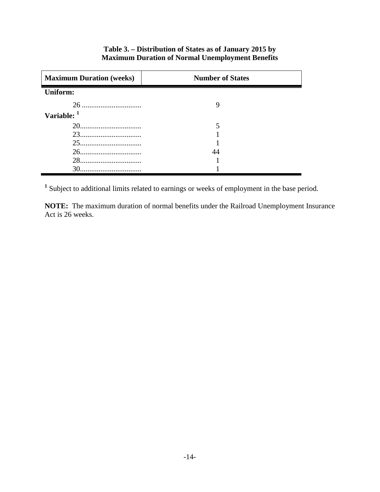| <b>Maximum Duration (weeks)</b> | <b>Number of States</b> |  |
|---------------------------------|-------------------------|--|
| <b>Uniform:</b>                 |                         |  |
|                                 |                         |  |
| Variable: 1                     |                         |  |
|                                 |                         |  |
| 23                              |                         |  |
| 25                              |                         |  |
|                                 |                         |  |
|                                 |                         |  |
|                                 |                         |  |

## **Table 3. – Distribution of States as of January 2015 by Maximum Duration of Normal Unemployment Benefits**

**<sup>1</sup>** Subject to additional limits related to earnings or weeks of employment in the base period.

**NOTE:** The maximum duration of normal benefits under the Railroad Unemployment Insurance Act is 26 weeks.